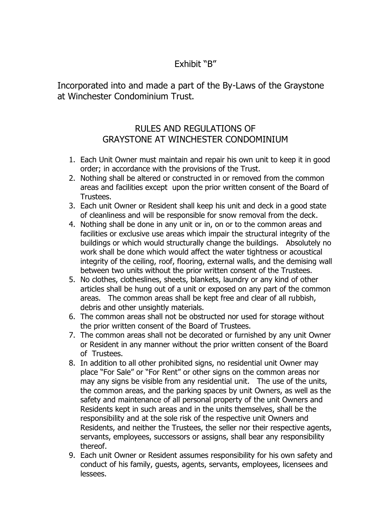## Exhibit "B"

Incorporated into and made a part of the By-Laws of the Graystone at Winchester Condominium Trust.

## RULES AND REGULATIONS OF GRAYSTONE AT WINCHESTER CONDOMINIUM

- 1. Each Unit Owner must maintain and repair his own unit to keep it in good order; in accordance with the provisions of the Trust.
- 2. Nothing shall be altered or constructed in or removed from the common areas and facilities except upon the prior written consent of the Board of Trustees.
- 3. Each unit Owner or Resident shall keep his unit and deck in a good state of cleanliness and will be responsible for snow removal from the deck.
- 4. Nothing shall be done in any unit or in, on or to the common areas and facilities or exclusive use areas which impair the structural integrity of the buildings or which would structurally change the buildings. Absolutely no work shall be done which would affect the water tightness or acoustical integrity of the ceiling, roof, flooring, external walls, and the demising wall between two units without the prior written consent of the Trustees.
- 5. No clothes, clotheslines, sheets, blankets, laundry or any kind of other articles shall be hung out of a unit or exposed on any part of the common areas. The common areas shall be kept free and clear of all rubbish, debris and other unsightly materials.
- 6. The common areas shall not be obstructed nor used for storage without the prior written consent of the Board of Trustees.
- 7. The common areas shall not be decorated or furnished by any unit Owner or Resident in any manner without the prior written consent of the Board of Trustees.
- 8. In addition to all other prohibited signs, no residential unit Owner may place "For Sale" or "For Rent" or other signs on the common areas nor may any signs be visible from any residential unit. The use of the units, the common areas, and the parking spaces by unit Owners, as well as the safety and maintenance of all personal property of the unit Owners and Residents kept in such areas and in the units themselves, shall be the responsibility and at the sole risk of the respective unit Owners and Residents, and neither the Trustees, the seller nor their respective agents, servants, employees, successors or assigns, shall bear any responsibility thereof.
- 9. Each unit Owner or Resident assumes responsibility for his own safety and conduct of his family, guests, agents, servants, employees, licensees and lessees.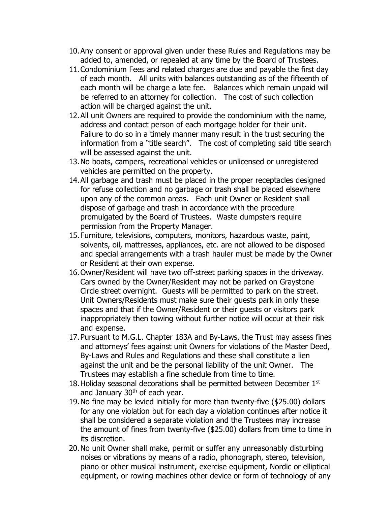- 10.Any consent or approval given under these Rules and Regulations may be added to, amended, or repealed at any time by the Board of Trustees.
- 11.Condominium Fees and related charges are due and payable the first day of each month. All units with balances outstanding as of the fifteenth of each month will be charge a late fee. Balances which remain unpaid will be referred to an attorney for collection. The cost of such collection action will be charged against the unit.
- 12.All unit Owners are required to provide the condominium with the name, address and contact person of each mortgage holder for their unit. Failure to do so in a timely manner many result in the trust securing the information from a "title search". The cost of completing said title search will be assessed against the unit.
- 13.No boats, campers, recreational vehicles or unlicensed or unregistered vehicles are permitted on the property.
- 14.All garbage and trash must be placed in the proper receptacles designed for refuse collection and no garbage or trash shall be placed elsewhere upon any of the common areas. Each unit Owner or Resident shall dispose of garbage and trash in accordance with the procedure promulgated by the Board of Trustees. Waste dumpsters require permission from the Property Manager.
- 15.Furniture, televisions, computers, monitors, hazardous waste, paint, solvents, oil, mattresses, appliances, etc. are not allowed to be disposed and special arrangements with a trash hauler must be made by the Owner or Resident at their own expense.
- 16.Owner/Resident will have two off-street parking spaces in the driveway. Cars owned by the Owner/Resident may not be parked on Graystone Circle street overnight. Guests will be permitted to park on the street. Unit Owners/Residents must make sure their guests park in only these spaces and that if the Owner/Resident or their guests or visitors park inappropriately then towing without further notice will occur at their risk and expense.
- 17.Pursuant to M.G.L. Chapter 183A and By-Laws, the Trust may assess fines and attorneys' fees against unit Owners for violations of the Master Deed, By-Laws and Rules and Regulations and these shall constitute a lien against the unit and be the personal liability of the unit Owner. The Trustees may establish a fine schedule from time to time.
- 18. Holiday seasonal decorations shall be permitted between December 1st and January  $30<sup>th</sup>$  of each year.
- 19.No fine may be levied initially for more than twenty-five (\$25.00) dollars for any one violation but for each day a violation continues after notice it shall be considered a separate violation and the Trustees may increase the amount of fines from twenty-five (\$25.00) dollars from time to time in its discretion.
- 20.No unit Owner shall make, permit or suffer any unreasonably disturbing noises or vibrations by means of a radio, phonograph, stereo, television, piano or other musical instrument, exercise equipment, Nordic or elliptical equipment, or rowing machines other device or form of technology of any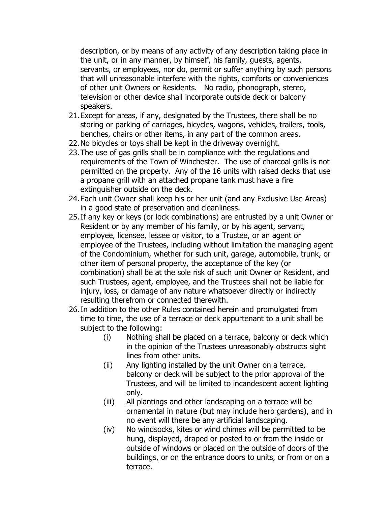description, or by means of any activity of any description taking place in the unit, or in any manner, by himself, his family, guests, agents, servants, or employees, nor do, permit or suffer anything by such persons that will unreasonable interfere with the rights, comforts or conveniences of other unit Owners or Residents. No radio, phonograph, stereo, television or other device shall incorporate outside deck or balcony speakers.

- 21.Except for areas, if any, designated by the Trustees, there shall be no storing or parking of carriages, bicycles, wagons, vehicles, trailers, tools, benches, chairs or other items, in any part of the common areas.
- 22.No bicycles or toys shall be kept in the driveway overnight.
- 23.The use of gas grills shall be in compliance with the regulations and requirements of the Town of Winchester. The use of charcoal grills is not permitted on the property. Any of the 16 units with raised decks that use a propane grill with an attached propane tank must have a fire extinguisher outside on the deck.
- 24.Each unit Owner shall keep his or her unit (and any Exclusive Use Areas) in a good state of preservation and cleanliness.
- 25.If any key or keys (or lock combinations) are entrusted by a unit Owner or Resident or by any member of his family, or by his agent, servant, employee, licensee, lessee or visitor, to a Trustee, or an agent or employee of the Trustees, including without limitation the managing agent of the Condominium, whether for such unit, garage, automobile, trunk, or other item of personal property, the acceptance of the key (or combination) shall be at the sole risk of such unit Owner or Resident, and such Trustees, agent, employee, and the Trustees shall not be liable for injury, loss, or damage of any nature whatsoever directly or indirectly resulting therefrom or connected therewith.
- 26.In addition to the other Rules contained herein and promulgated from time to time, the use of a terrace or deck appurtenant to a unit shall be subject to the following:
	- (i) Nothing shall be placed on a terrace, balcony or deck which in the opinion of the Trustees unreasonably obstructs sight lines from other units.
	- (ii) Any lighting installed by the unit Owner on a terrace, balcony or deck will be subject to the prior approval of the Trustees, and will be limited to incandescent accent lighting only.
	- (iii) All plantings and other landscaping on a terrace will be ornamental in nature (but may include herb gardens), and in no event will there be any artificial landscaping.
	- (iv) No windsocks, kites or wind chimes will be permitted to be hung, displayed, draped or posted to or from the inside or outside of windows or placed on the outside of doors of the buildings, or on the entrance doors to units, or from or on a terrace.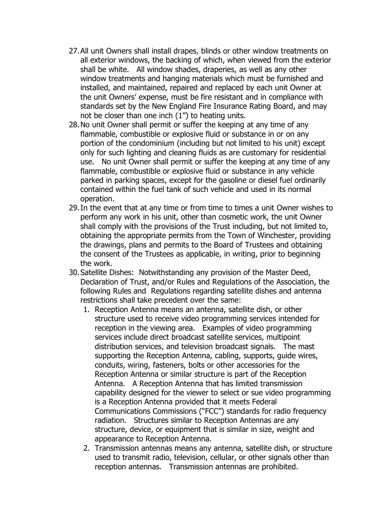- 27.All unit Owners shall install drapes, blinds or other window treatments on all exterior windows, the backing of which, when viewed from the exterior shall be white. All window shades, draperies, as well as any other window treatments and hanging materials which must be furnished and installed, and maintained, repaired and replaced by each unit Owner at the unit Owners' expense, must be fire resistant and in compliance with standards set by the New England Fire Insurance Rating Board, and may not be closer than one inch (1") to heating units.
- 28.No unit Owner shall permit or suffer the keeping at any time of any flammable, combustible or explosive fluid or substance in or on any portion of the condominium (including but not limited to his unit) except only for such lighting and cleaning fluids as are customary for residential use. No unit Owner shall permit or suffer the keeping at any time of any flammable, combustible or explosive fluid or substance in any vehicle parked in parking spaces, except for the gasoline or diesel fuel ordinarily contained within the fuel tank of such vehicle and used in its normal operation.
- 29.In the event that at any time or from time to times a unit Owner wishes to perform any work in his unit, other than cosmetic work, the unit Owner shall comply with the provisions of the Trust including, but not limited to, obtaining the appropriate permits from the Town of Winchester, providing the drawings, plans and permits to the Board of Trustees and obtaining the consent of the Trustees as applicable, in writing, prior to beginning the work.
- 30.Satellite Dishes: Notwithstanding any provision of the Master Deed, Declaration of Trust, and/or Rules and Regulations of the Association, the following Rules and Regulations regarding satellite dishes and antenna restrictions shall take precedent over the same:
	- 1. Reception Antenna means an antenna, satellite dish, or other structure used to receive video programming services intended for reception in the viewing area. Examples of video programming services include direct broadcast satellite services, multipoint distribution services, and television broadcast signals. The mast supporting the Reception Antenna, cabling, supports, guide wires, conduits, wiring, fasteners, bolts or other accessories for the Reception Antenna or similar structure is part of the Reception Antenna. A Reception Antenna that has limited transmission capability designed for the viewer to select or sue video programming is a Reception Antenna provided that it meets Federal Communications Commissions ("FCC") standards for radio frequency radiation. Structures similar to Reception Antennas are any structure, device, or equipment that is similar in size, weight and appearance to Reception Antenna.
	- 2. Transmission antennas means any antenna, satellite dish, or structure used to transmit radio, television, cellular, or other signals other than reception antennas. Transmission antennas are prohibited.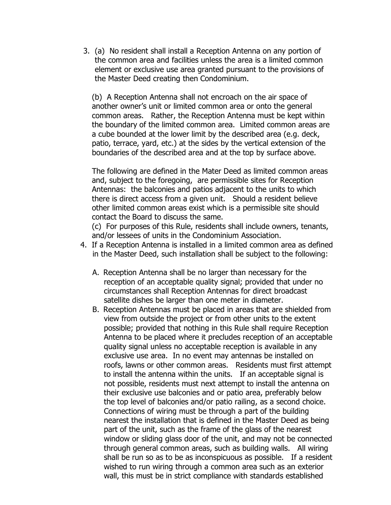3. (a) No resident shall install a Reception Antenna on any portion of the common area and facilities unless the area is a limited common element or exclusive use area granted pursuant to the provisions of the Master Deed creating then Condominium.

(b) A Reception Antenna shall not encroach on the air space of another owner's unit or limited common area or onto the general common areas. Rather, the Reception Antenna must be kept within the boundary of the limited common area. Limited common areas are a cube bounded at the lower limit by the described area (e.g. deck, patio, terrace, yard, etc.) at the sides by the vertical extension of the boundaries of the described area and at the top by surface above.

The following are defined in the Mater Deed as limited common areas and, subject to the foregoing, are permissible sites for Reception Antennas: the balconies and patios adjacent to the units to which there is direct access from a given unit. Should a resident believe other limited common areas exist which is a permissible site should contact the Board to discuss the same.

(c) For purposes of this Rule, residents shall include owners, tenants, and/or lessees of units in the Condominium Association.

- 4. If a Reception Antenna is installed in a limited common area as defined in the Master Deed, such installation shall be subject to the following:
	- A. Reception Antenna shall be no larger than necessary for the reception of an acceptable quality signal; provided that under no circumstances shall Reception Antennas for direct broadcast satellite dishes be larger than one meter in diameter.
	- B. Reception Antennas must be placed in areas that are shielded from view from outside the project or from other units to the extent possible; provided that nothing in this Rule shall require Reception Antenna to be placed where it precludes reception of an acceptable quality signal unless no acceptable reception is available in any exclusive use area. In no event may antennas be installed on roofs, lawns or other common areas. Residents must first attempt to install the antenna within the units. If an acceptable signal is not possible, residents must next attempt to install the antenna on their exclusive use balconies and or patio area, preferably below the top level of balconies and/or patio railing, as a second choice. Connections of wiring must be through a part of the building nearest the installation that is defined in the Master Deed as being part of the unit, such as the frame of the glass of the nearest window or sliding glass door of the unit, and may not be connected through general common areas, such as building walls. All wiring shall be run so as to be as inconspicuous as possible. If a resident wished to run wiring through a common area such as an exterior wall, this must be in strict compliance with standards established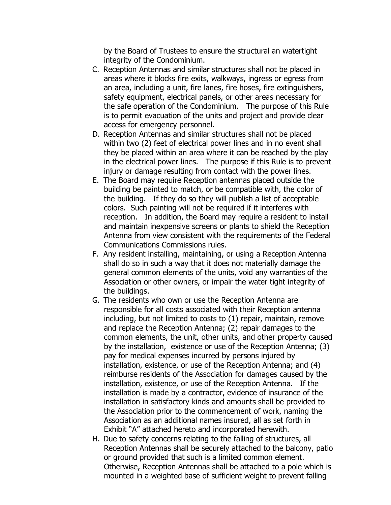by the Board of Trustees to ensure the structural an watertight integrity of the Condominium.

- C. Reception Antennas and similar structures shall not be placed in areas where it blocks fire exits, walkways, ingress or egress from an area, including a unit, fire lanes, fire hoses, fire extinguishers, safety equipment, electrical panels, or other areas necessary for the safe operation of the Condominium. The purpose of this Rule is to permit evacuation of the units and project and provide clear access for emergency personnel.
- D. Reception Antennas and similar structures shall not be placed within two (2) feet of electrical power lines and in no event shall they be placed within an area where it can be reached by the play in the electrical power lines. The purpose if this Rule is to prevent injury or damage resulting from contact with the power lines.
- E. The Board may require Reception antennas placed outside the building be painted to match, or be compatible with, the color of the building. If they do so they will publish a list of acceptable colors. Such painting will not be required if it interferes with reception. In addition, the Board may require a resident to install and maintain inexpensive screens or plants to shield the Reception Antenna from view consistent with the requirements of the Federal Communications Commissions rules.
- F. Any resident installing, maintaining, or using a Reception Antenna shall do so in such a way that it does not materially damage the general common elements of the units, void any warranties of the Association or other owners, or impair the water tight integrity of the buildings.
- G. The residents who own or use the Reception Antenna are responsible for all costs associated with their Reception antenna including, but not limited to costs to (1) repair, maintain, remove and replace the Reception Antenna; (2) repair damages to the common elements, the unit, other units, and other property caused by the installation, existence or use of the Reception Antenna; (3) pay for medical expenses incurred by persons injured by installation, existence, or use of the Reception Antenna; and (4) reimburse residents of the Association for damages caused by the installation, existence, or use of the Reception Antenna. If the installation is made by a contractor, evidence of insurance of the installation in satisfactory kinds and amounts shall be provided to the Association prior to the commencement of work, naming the Association as an additional names insured, all as set forth in Exhibit "A" attached hereto and incorporated herewith.
- H. Due to safety concerns relating to the falling of structures, all Reception Antennas shall be securely attached to the balcony, patio or ground provided that such is a limited common element. Otherwise, Reception Antennas shall be attached to a pole which is mounted in a weighted base of sufficient weight to prevent falling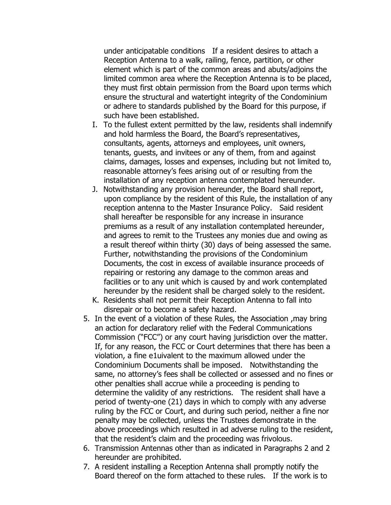under anticipatable conditions If a resident desires to attach a Reception Antenna to a walk, railing, fence, partition, or other element which is part of the common areas and abuts/adjoins the limited common area where the Reception Antenna is to be placed, they must first obtain permission from the Board upon terms which ensure the structural and watertight integrity of the Condominium or adhere to standards published by the Board for this purpose, if such have been established.

- I. To the fullest extent permitted by the law, residents shall indemnify and hold harmless the Board, the Board's representatives, consultants, agents, attorneys and employees, unit owners, tenants, guests, and invitees or any of them, from and against claims, damages, losses and expenses, including but not limited to, reasonable attorney's fees arising out of or resulting from the installation of any reception antenna contemplated hereunder.
- J. Notwithstanding any provision hereunder, the Board shall report, upon compliance by the resident of this Rule, the installation of any reception antenna to the Master Insurance Policy. Said resident shall hereafter be responsible for any increase in insurance premiums as a result of any installation contemplated hereunder, and agrees to remit to the Trustees any monies due and owing as a result thereof within thirty (30) days of being assessed the same. Further, notwithstanding the provisions of the Condominium Documents, the cost in excess of available insurance proceeds of repairing or restoring any damage to the common areas and facilities or to any unit which is caused by and work contemplated hereunder by the resident shall be charged solely to the resident.
- K. Residents shall not permit their Reception Antenna to fall into disrepair or to become a safety hazard.
- 5. In the event of a violation of these Rules, the Association ,may bring an action for declaratory relief with the Federal Communications Commission ("FCC") or any court having jurisdiction over the matter. If, for any reason, the FCC or Court determines that there has been a violation, a fine e1uivalent to the maximum allowed under the Condominium Documents shall be imposed. Notwithstanding the same, no attorney's fees shall be collected or assessed and no fines or other penalties shall accrue while a proceeding is pending to determine the validity of any restrictions. The resident shall have a period of twenty-one (21) days in which to comply with any adverse ruling by the FCC or Court, and during such period, neither a fine nor penalty may be collected, unless the Trustees demonstrate in the above proceedings which resulted in ad adverse ruling to the resident, that the resident's claim and the proceeding was frivolous.
- 6. Transmission Antennas other than as indicated in Paragraphs 2 and 2 hereunder are prohibited.
- 7. A resident installing a Reception Antenna shall promptly notify the Board thereof on the form attached to these rules. If the work is to